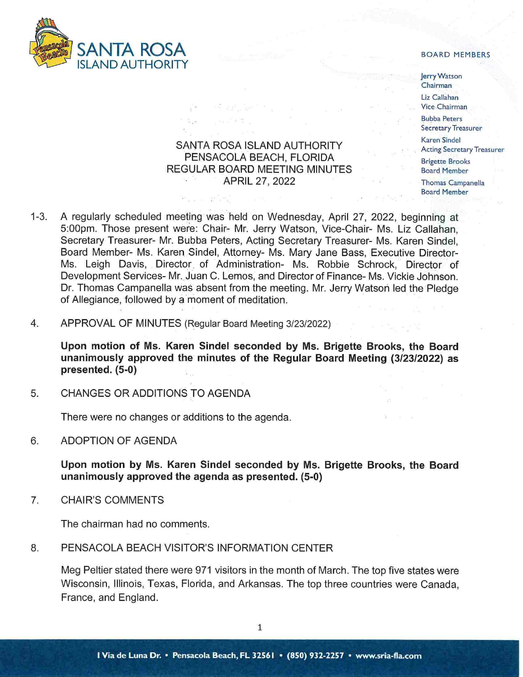

Jerry Watson Chairman Liz Callahan Vice Chairman Bubba Peters Secretary Treasurer Karen Sindel . Acting Secretary Treasurer Brigette Brooks Board Member Thomas Campanella

Board **Member** 

# SANTA ROSA ISLAND AUTHORITY PENSACOLA BEACH, FLORIDA REGULAR BOARD MEETING MINUTES APRIL 27, 2022

- 1-3. A regularly scheduled meeting was held on Wednesday, April 27, 2022, beginning at 5:00pm. Those present were: Chair- Mr. Jerry Watson, Vice-Chair- Ms. Liz Callahan, Secretary Treasurer- Mr. Bubba Peters, Acting Secretary Treasurer- Ms. Karen Sindel, Board Member- Ms. Karen Sindel, Attorney- Ms. Mary Jane Bass, Executive Director-Ms. Leigh Davis, Director. of Administration- Ms. Robbie Schrock, Director of Development Services- Mr. Juan C. Lemos, and Director of Finance- Ms. Vickie Johnson. Dr. Thomas Campanella was absent from the meeting. Mr. Jerry Watson led the Pledge of Allegiance, followed by a moment of meditation.
- 4. APPROVAL OF MINUTES (Regular Board Meeting 3/23/2022)

**Upon motion of Ms. Karen Sindel seconded by Ms. Brigette Brooks, the Board unanimously approved the minutes of the Regular Board Meeting (3/23/2022) as presented. (5-0)** 

5. CHANGES OR ADDITIONS TO AGENDA

There were no changes or additions to the agenda.

6. ADOPTION OF AGENDA

**Upon motion by Ms. Karen Sindel seconded by Ms. Brigette Brooks, the Board unanimously approved the agenda as presented. (5-0)** 

7. CHAIR'S COMMENTS

The chairman had no comments.

8. PENSACOLA BEACH VISITOR'S INFORMATION CENTER

Meg Peltier stated there were 971 visitors in the month of March. The top five states were Wisconsin, Illinois, Texas, Florida, and Arkansas. The top three countries were Canada, France, and England.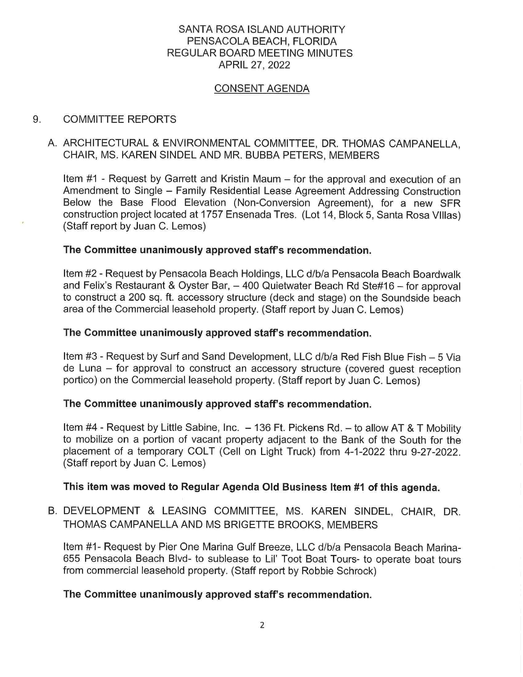# SANTA ROSA ISLAND AUTHORITY PENSACOLA BEACH, FLORIDA REGULAR BOARD MEETING MINUTES APRIL 27, 2022

## CONSENT AGENDA

### 9. COMMITTEE REPORTS

# A. ARCHITECTURAL & ENVIRONMENTAL COMMITTEE, DR. THOMAS CAMPANELLA, CHAIR, MS. KAREN SINDEL AND MR. BUBBA PETERS, MEMBERS

Item #1 - Request by Garrett and Kristin Maum – for the approval and execution of an Amendment to Single - Family Residential Lease Agreement Addressing Construction Below the Base Flood Elevation (Non-Conversion Agreement), for a new SFR construction project located at 1757 Ensenada Tres. (Lot 14, Block 5, Santa Rosa VIiias) (Staff report by Juan C. Lemos)

## **The Committee unanimously approved staff's recommendation.**

Item #2 - Request by Pensacola Beach Holdings, LLC d/b/a Pensacola Beach Boardwalk and Felix's Restaurant & Oyster Bar, - 400 Quietwater Beach Rd Ste#16 - for approval to construct a 200 sq. ft. accessory structure (deck and stage) on the Soundside beach area of the Commercial leasehold property. (Staff report by Juan C. Lemos)

#### **The Committee unanimously approved staff's recommendation.**

Item #3 - Request by Surf and Sand Development, LLC d/b/a Red Fish Blue Fish - 5 Via de Luna - for approval to construct an accessory structure (covered guest reception portico) on the Commercial leasehold property. (Staff report by Juan C. Lemos)

#### **The Committee unanimously approved staff's recommendation.**

Item  $#4$  - Request by Little Sabine, Inc.  $-136$  Ft. Pickens Rd.  $-$  to allow AT & T Mobility to mobilize on a portion of vacant property adjacent to the Bank of the South for the placement of a temporary COLT (Cell on Light Truck) from 4-1-2022 thru 9-27-2022. (Staff report by Juan C. Lemos)

#### **This item was moved to Regular Agenda Old Business Item #1 of this agenda.**

B. DEVELOPMENT & LEASING COMMITTEE, MS. KAREN SINDEL, CHAIR, DR. THOMAS CAMPANELLA AND MS BRIGETTE BROOKS, MEMBERS

Item #1- Request by Pier One Marina Gulf Breeze, LLC d/b/a Pensacola Beach Marina-655 Pensacola Beach Blvd- to sublease to Lil' Toot Boat Tours- to operate boat tours from commercial leasehold property. (Staff report by Robbie Schrock)

#### **The Committee unanimously approved staff's recommendation.**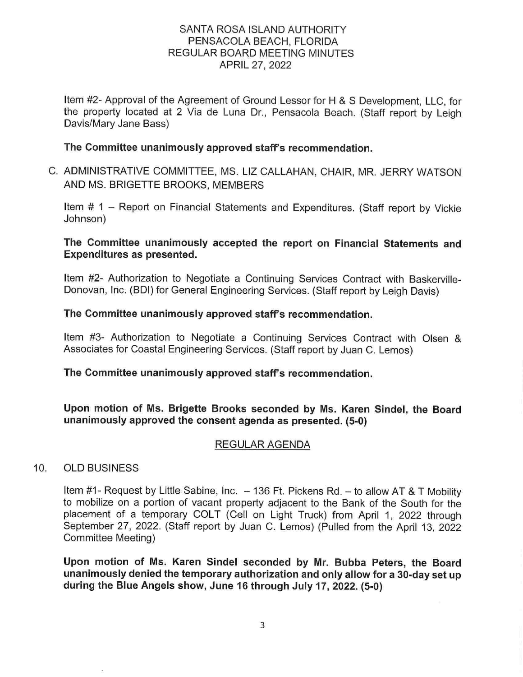# SANTA ROSA ISLAND AUTHORITY PENSACOLA BEACH, FLORIDA REGULAR BOARD MEETING MINUTES APRIL 27, 2022

Item #2- Approval of the Agreement of Ground Lessor for **H** & S Development, LLC, for the property located at 2 Via de Luna Dr., Pensacola Beach. (Staff report by Leigh Davis/Mary Jane Bass)

## **The Committee unanimously approved staff's recommendation.**

C. ADMINISTRATIVE COMMITTEE, MS. LIZ CALLAHAN, CHAIR, MR. JERRY WATSON AND MS. BRIGETTE BROOKS, MEMBERS

Item # 1 - Report on Financial Statements and Expenditures. (Staff report by Vickie Johnson)

## **The Committee unanimously accepted the report on Financial Statements and Expenditures as presented.**

Item #2- Authorization to Negotiate a Continuing Services Contract with Baskerville-Donovan, Inc. (BDI) for General Engineering Services. (Staff report by Leigh Davis)

## **The Committee unanimously approved staff's recommendation.**

Item #3- Authorization to Negotiate a Continuing Services Contract with Olsen & Associates for Coastal Engineering Services. (Staff report by Juan C. Lemos)

# **The Committee unanimously approved staff's recommendation.**

**Upon motion of Ms. Brigette Brooks seconded by Ms. Karen Sindel, the Board unanimously approved the consent agenda as presented. (5-0)** 

# REGULAR AGENDA

#### 10. OLD BUSINESS

Item #1- Request by Little Sabine, Inc.  $-136$  Ft. Pickens Rd.  $-$  to allow AT & T Mobility to mobilize on a portion of vacant property adjacent to the Bank of the South for the placement of a temporary COLT (Cell on Light Truck) from April 1, 2022 through September 27, 2022. (Staff report by Juan C. Lemos) (Pulled from the April 13, 2022 Committee Meeting)

**Upon motion of Ms. Karen Sindel seconded by Mr. Bubba Peters, the Board unanimously denied the temporary authorization and only allow for a 30-day set up during the Blue Angels show, June 16 through July 17, 2022. (5-0)**